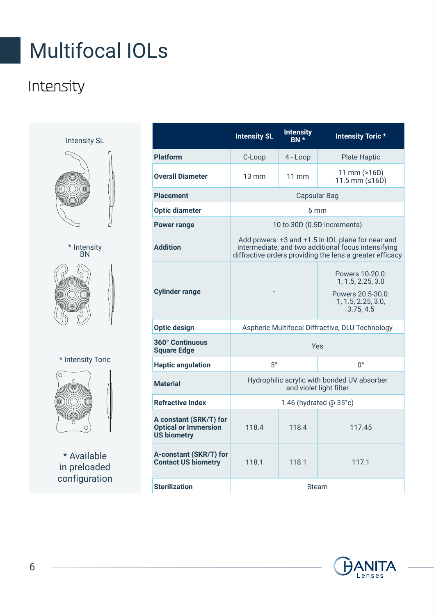## Multifocal IOLs

### Intensity

Intensity SL





\* Intensity Toric



\* Available in preloaded configuration

| ntensity SL                           |                                                                             | <b>Intensity SL</b>                                                                                                                                                  | <b>Intensity</b><br>BN * | <b>Intensity Toric*</b>                                                                      |
|---------------------------------------|-----------------------------------------------------------------------------|----------------------------------------------------------------------------------------------------------------------------------------------------------------------|--------------------------|----------------------------------------------------------------------------------------------|
|                                       | Platform                                                                    | C-Loop                                                                                                                                                               | $4 - Loop$               | <b>Plate Haptic</b>                                                                          |
|                                       | <b>Overall Diameter</b>                                                     | $13 \text{ mm}$                                                                                                                                                      | $11 \text{ mm}$          | $11$ mm $(>16D)$<br>$11.5$ mm ( $\leq 16D$ )                                                 |
|                                       | <b>Placement</b>                                                            | Capsular Bag                                                                                                                                                         |                          |                                                                                              |
|                                       | <b>Optic diameter</b>                                                       | 6 <sub>mm</sub>                                                                                                                                                      |                          |                                                                                              |
|                                       | <b>Power range</b>                                                          | 10 to 30D (0.5D increments)                                                                                                                                          |                          |                                                                                              |
| * Intensity<br><b>BN</b>              | <b>Addition</b>                                                             | Add powers: +3 and +1.5 in IOL plane for near and<br>intermediate; and two additional focus intensifying<br>diffractive orders providing the lens a greater efficacy |                          |                                                                                              |
|                                       | <b>Cylinder range</b>                                                       |                                                                                                                                                                      |                          | Powers 10-20.0:<br>1, 1.5, 2.25, 3.0<br>Powers 20.5-30.0:<br>1, 1.5, 2.25, 3.0,<br>3.75, 4.5 |
|                                       | Optic design                                                                | Aspheric Multifocal Diffractive, DLU Technology                                                                                                                      |                          |                                                                                              |
|                                       | 360° Continuous<br><b>Square Edge</b>                                       | Yes                                                                                                                                                                  |                          |                                                                                              |
| <b>ntensity Toric</b>                 | <b>Haptic angulation</b>                                                    | $5^\circ$                                                                                                                                                            |                          | $\Omega^{\circ}$                                                                             |
| $\circ$                               | <b>Material</b>                                                             | Hydrophilic acrylic with bonded UV absorber<br>and violet light filter                                                                                               |                          |                                                                                              |
|                                       | <b>Refractive Index</b>                                                     | 1.46 (hydrated $(0.35^{\circ}c)$ )                                                                                                                                   |                          |                                                                                              |
|                                       | A constant (SRK/T) for<br><b>Optical or Immersion</b><br><b>US biometry</b> | 118.4                                                                                                                                                                | 118.4                    | 117.45                                                                                       |
| Available<br>preloaded<br>nfiguration | A-constant (SKR/T) for<br><b>Contact US biometry</b>                        | 118.1                                                                                                                                                                | 118.1                    | 117.1                                                                                        |
|                                       | <b>Sterilization</b>                                                        | Steam                                                                                                                                                                |                          |                                                                                              |